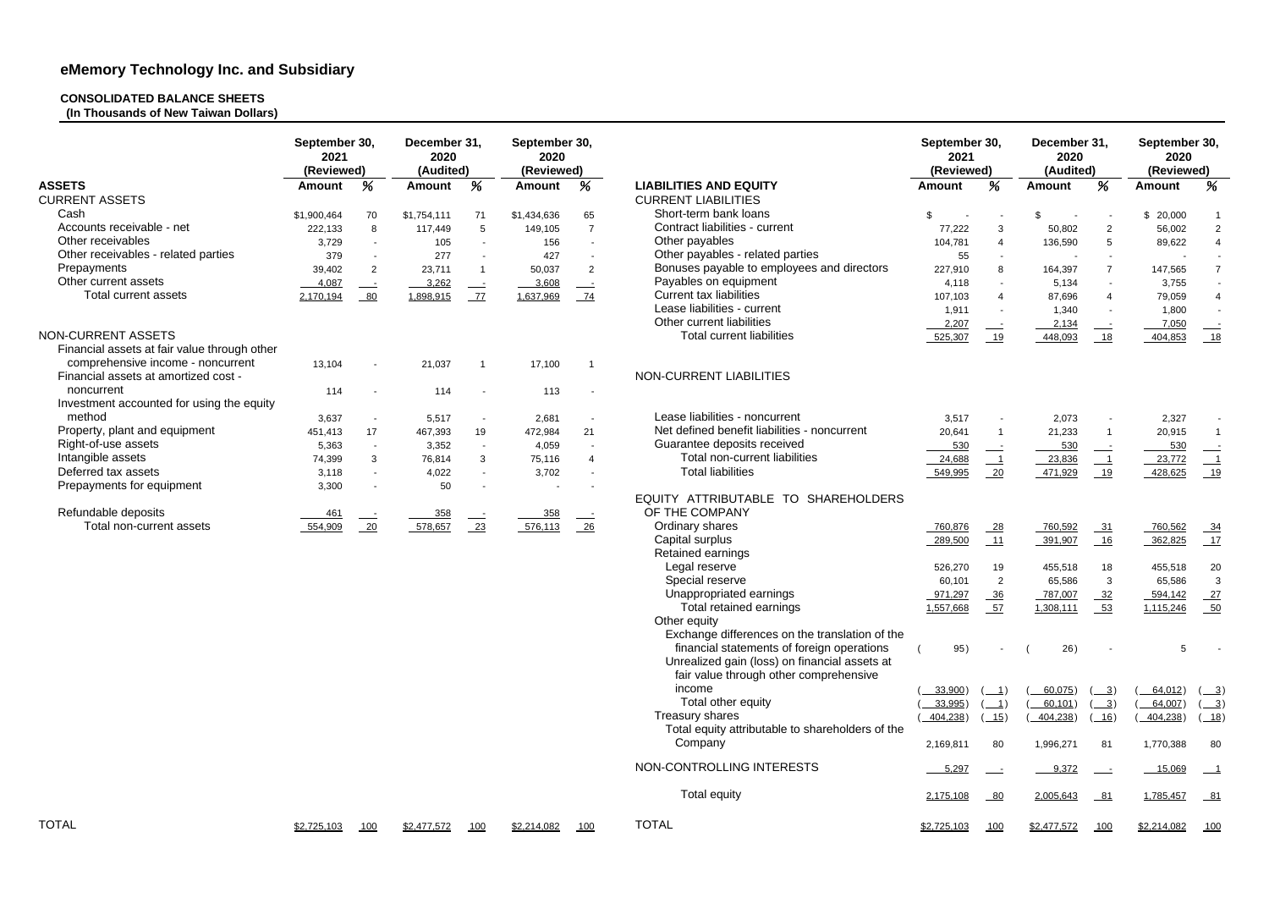## **CONSOLIDATED BALANCE SHEETS**

**(In Thousands of New Taiwan Dollars)**

|                                              | September 30,<br>2021 |                          | December 31,<br>2020<br>(Audited) |                          | September 30,<br>2020<br>(Reviewed) |                |                                                  | 2021          | September 30,<br>(Reviewed)                     |               | December 31,<br>2020<br>(Audited) |                          | September 30,<br>2020<br>(Reviewed) |  |  |  |
|----------------------------------------------|-----------------------|--------------------------|-----------------------------------|--------------------------|-------------------------------------|----------------|--------------------------------------------------|---------------|-------------------------------------------------|---------------|-----------------------------------|--------------------------|-------------------------------------|--|--|--|
|                                              | (Reviewed)            |                          |                                   |                          |                                     |                |                                                  |               |                                                 |               |                                   |                          |                                     |  |  |  |
| <b>ASSETS</b>                                | <b>Amount</b>         | %                        | <b>Amount</b>                     | %                        | <b>Amount</b>                       | %              | <b>LIABILITIES AND EQUITY</b>                    | <b>Amount</b> | %                                               | <b>Amount</b> | %                                 | <b>Amount</b>            | %                                   |  |  |  |
| <b>CURRENT ASSETS</b>                        |                       |                          |                                   |                          |                                     |                | <b>CURRENT LIABILITIES</b>                       |               |                                                 |               |                                   |                          |                                     |  |  |  |
| Cash                                         | \$1,900,464           | 70                       | \$1,754,111                       | 71                       | \$1,434,636                         | 65             | Short-term bank loans                            | \$            |                                                 | \$            |                                   | \$20,000                 |                                     |  |  |  |
| Accounts receivable - net                    | 222,133               | 8                        | 117,449                           | 5                        | 149,105                             | $\overline{7}$ | Contract liabilities - current                   | 77,222        | 3                                               | 50,802        | $\overline{2}$                    | 56,002                   | $\overline{2}$                      |  |  |  |
| Other receivables                            | 3,729                 | $\sim$                   | 105                               | $\sim$                   | 156                                 | $\sim$         | Other payables                                   | 104,781       | $\overline{4}$                                  | 136,590       | 5                                 | 89,622                   | $\overline{4}$                      |  |  |  |
| Other receivables - related parties          | 379                   | $\sim$                   | 277                               | $\sim$                   | 427                                 |                | Other payables - related parties                 | 55            | $\sim$                                          |               | $\sim$                            | $\overline{\phantom{a}}$ | $\sim$                              |  |  |  |
| Prepayments                                  | 39,402                | 2                        | 23,711                            | $\blacktriangleleft$     | 50,037                              | $\overline{2}$ | Bonuses payable to employees and directors       | 227,910       | 8                                               | 164,397       | $\overline{7}$                    | 147,565                  | $\overline{7}$                      |  |  |  |
| Other current assets                         | 4,087                 | $\frac{1}{2}$            | 3,262                             | $\frac{1}{2}$            | $-3,608$                            |                | Payables on equipment                            | 4,118         | $\sim$                                          | 5,134         | $\overline{\phantom{a}}$          | 3,755                    |                                     |  |  |  |
| Total current assets                         | 2,170,194             | 80                       | 1,898,915                         | 77                       | 1,637,969                           | 74             | <b>Current tax liabilities</b>                   | 107,103       | $\overline{4}$                                  | 87,696        |                                   | 79,059                   | $\overline{4}$                      |  |  |  |
|                                              |                       |                          |                                   |                          |                                     |                | Lease liabilities - current                      | 1,911         | $\sim$                                          | 1,340         |                                   | 1,800                    |                                     |  |  |  |
|                                              |                       |                          |                                   |                          |                                     |                | Other current liabilities                        |               |                                                 |               |                                   |                          |                                     |  |  |  |
| NON-CURRENT ASSETS                           |                       |                          |                                   |                          |                                     |                |                                                  | 2,207         | $\overline{\phantom{a}}$                        | 2,134         |                                   | 7,050                    |                                     |  |  |  |
|                                              |                       |                          |                                   |                          |                                     |                | <b>Total current liabilities</b>                 | 525,307       | 19                                              | 448,093       | 18                                | 404,853                  |                                     |  |  |  |
| Financial assets at fair value through other |                       |                          |                                   |                          |                                     |                |                                                  |               |                                                 |               |                                   |                          |                                     |  |  |  |
| comprehensive income - noncurrent            | 13,104                | $\blacksquare$           | 21,037                            |                          | 17,100                              |                |                                                  |               |                                                 |               |                                   |                          |                                     |  |  |  |
| Financial assets at amortized cost -         |                       |                          |                                   |                          |                                     |                | NON-CURRENT LIABILITIES                          |               |                                                 |               |                                   |                          |                                     |  |  |  |
| noncurrent                                   | 114                   | $\overline{\phantom{a}}$ | 114                               |                          | 113                                 |                |                                                  |               |                                                 |               |                                   |                          |                                     |  |  |  |
| Investment accounted for using the equity    |                       |                          |                                   |                          |                                     |                |                                                  |               |                                                 |               |                                   |                          |                                     |  |  |  |
| method                                       | 3,637                 | $\overline{\phantom{a}}$ | 5,517                             |                          | 2,681                               |                | Lease liabilities - noncurrent                   | 3,517         |                                                 | 2,073         |                                   | 2,327                    |                                     |  |  |  |
| Property, plant and equipment                | 451,413               | 17                       | 467,393                           | 19                       | 472,984                             | 21             | Net defined benefit liabilities - noncurrent     | 20,641        | $\overline{1}$                                  | 21,233        |                                   | 20,915                   | $\overline{1}$                      |  |  |  |
| Right-of-use assets                          | 5,363                 | $\sim$                   | 3,352                             | $\overline{\phantom{a}}$ | 4,059                               |                | Guarantee deposits received                      | 530           | $\overline{\phantom{a}}$                        | 530           |                                   | 530                      |                                     |  |  |  |
| Intangible assets                            | 74,399                | 3                        | 76,814                            | 3                        | 75,116                              | 4              | Total non-current liabilities                    | 24,688        | $\overline{\phantom{0}}$                        | 23,836        | $\overline{\phantom{0}}$          | 23,772                   | $\overline{\phantom{0}}$ 1          |  |  |  |
| Deferred tax assets                          | 3,118                 | $\overline{\phantom{a}}$ | 4,022                             | $\sim$                   | 3,702                               |                | <b>Total liabilities</b>                         | 549,995       | 20                                              | 471,929       | 19                                | 428,625                  | 19                                  |  |  |  |
| Prepayments for equipment                    | 3,300                 |                          | 50                                |                          |                                     |                |                                                  |               |                                                 |               |                                   |                          |                                     |  |  |  |
|                                              |                       |                          |                                   |                          |                                     |                | EQUITY ATTRIBUTABLE TO<br><b>SHAREHOLDERS</b>    |               |                                                 |               |                                   |                          |                                     |  |  |  |
|                                              |                       |                          |                                   |                          |                                     |                |                                                  |               |                                                 |               |                                   |                          |                                     |  |  |  |
| Refundable deposits                          | 461                   | $\equiv$                 | 358                               |                          | 358                                 | $\frac{1}{2}$  | OF THE COMPANY                                   |               |                                                 |               |                                   |                          |                                     |  |  |  |
| Total non-current assets                     | 554,909               | 20                       | 578,657                           | $\frac{23}{2}$           | 576,113                             | $-26$          | Ordinary shares                                  | 760,876       | $-28$                                           | 760,592       | $-31$                             | 760,562                  | $-34$                               |  |  |  |
|                                              |                       |                          |                                   |                          |                                     |                | Capital surplus                                  | 289,500       | 11                                              | 391,907       | 16                                | 362,825                  | $-17$                               |  |  |  |
|                                              |                       |                          |                                   |                          |                                     |                | Retained earnings                                |               |                                                 |               |                                   |                          |                                     |  |  |  |
|                                              |                       |                          |                                   |                          |                                     |                | Legal reserve                                    | 526,270       | 19                                              | 455,518       | 18                                | 455,518                  | 20                                  |  |  |  |
|                                              |                       |                          |                                   |                          |                                     |                | Special reserve                                  | 60,101        | 2                                               | 65,586        | 3                                 | 65,586                   | $\mathbf{3}$                        |  |  |  |
|                                              |                       |                          |                                   |                          |                                     |                | Unappropriated earnings                          | 971,297       | $\frac{36}{ }$                                  | 787,007       | 32                                | 594,142                  | 27                                  |  |  |  |
|                                              |                       |                          |                                   |                          |                                     |                | Total retained earnings                          | 1,557,668     | $-57$                                           | 1,308,111     | $-53$                             | 1,115,246                | $-50$                               |  |  |  |
|                                              |                       |                          |                                   |                          |                                     |                | Other equity                                     |               |                                                 |               |                                   |                          |                                     |  |  |  |
|                                              |                       |                          |                                   |                          |                                     |                | Exchange differences on the translation of the   |               |                                                 |               |                                   |                          |                                     |  |  |  |
|                                              |                       |                          |                                   |                          |                                     |                | financial statements of foreign operations       | 95)           |                                                 | 26)           |                                   | $5\phantom{.0}$          |                                     |  |  |  |
|                                              |                       |                          |                                   |                          |                                     |                | Unrealized gain (loss) on financial assets at    |               |                                                 |               |                                   |                          |                                     |  |  |  |
|                                              |                       |                          |                                   |                          |                                     |                | fair value through other comprehensive           |               |                                                 |               |                                   |                          |                                     |  |  |  |
|                                              |                       |                          |                                   |                          |                                     |                |                                                  |               |                                                 |               |                                   |                          |                                     |  |  |  |
|                                              |                       |                          |                                   |                          |                                     |                | income                                           | $33,900$ )    | $\perp$ 1)                                      | 60,075)       | $\frac{3}{2}$                     | 64,012)                  | $\frac{3}{2}$                       |  |  |  |
|                                              |                       |                          |                                   |                          |                                     |                | Total other equity                               | 33,995)       | $\left( \begin{array}{c} 1 \end{array} \right)$ | 60,101)       | $\left( \frac{3}{2} \right)$      | 64,007)                  | $\underline{\hspace{1cm}}$ 3)       |  |  |  |
|                                              |                       |                          |                                   |                          |                                     |                | Treasury shares                                  | 404,238)      | $\underline{\hspace{2mm}15}$                    | 404,238)      | (16)                              | 404,238)                 | ( 18)                               |  |  |  |
|                                              |                       |                          |                                   |                          |                                     |                | Total equity attributable to shareholders of the |               |                                                 |               |                                   |                          |                                     |  |  |  |
|                                              |                       |                          |                                   |                          |                                     |                | Company                                          | 2,169,811     | 80                                              | 1,996,271     | 81                                | 1,770,388                | 80                                  |  |  |  |
|                                              |                       |                          |                                   |                          |                                     |                | NON-CONTROLLING INTERESTS                        | 5,297         |                                                 | 9,372         |                                   | 15,069                   |                                     |  |  |  |
|                                              |                       |                          |                                   |                          |                                     |                | <b>Total equity</b>                              | 2,175,108     | $-80$                                           | 2,005,643     | $-81$                             | 1,785,457                | $-81$                               |  |  |  |
| <b>TOTAL</b>                                 | \$2,725,103           | 100                      | \$2,477,572                       | 100                      | \$2,214,082                         | 100            | <b>TOTAL</b>                                     | \$2,725,103   | 100                                             | \$2,477,572   | 100                               | \$2,214,082              | 100                                 |  |  |  |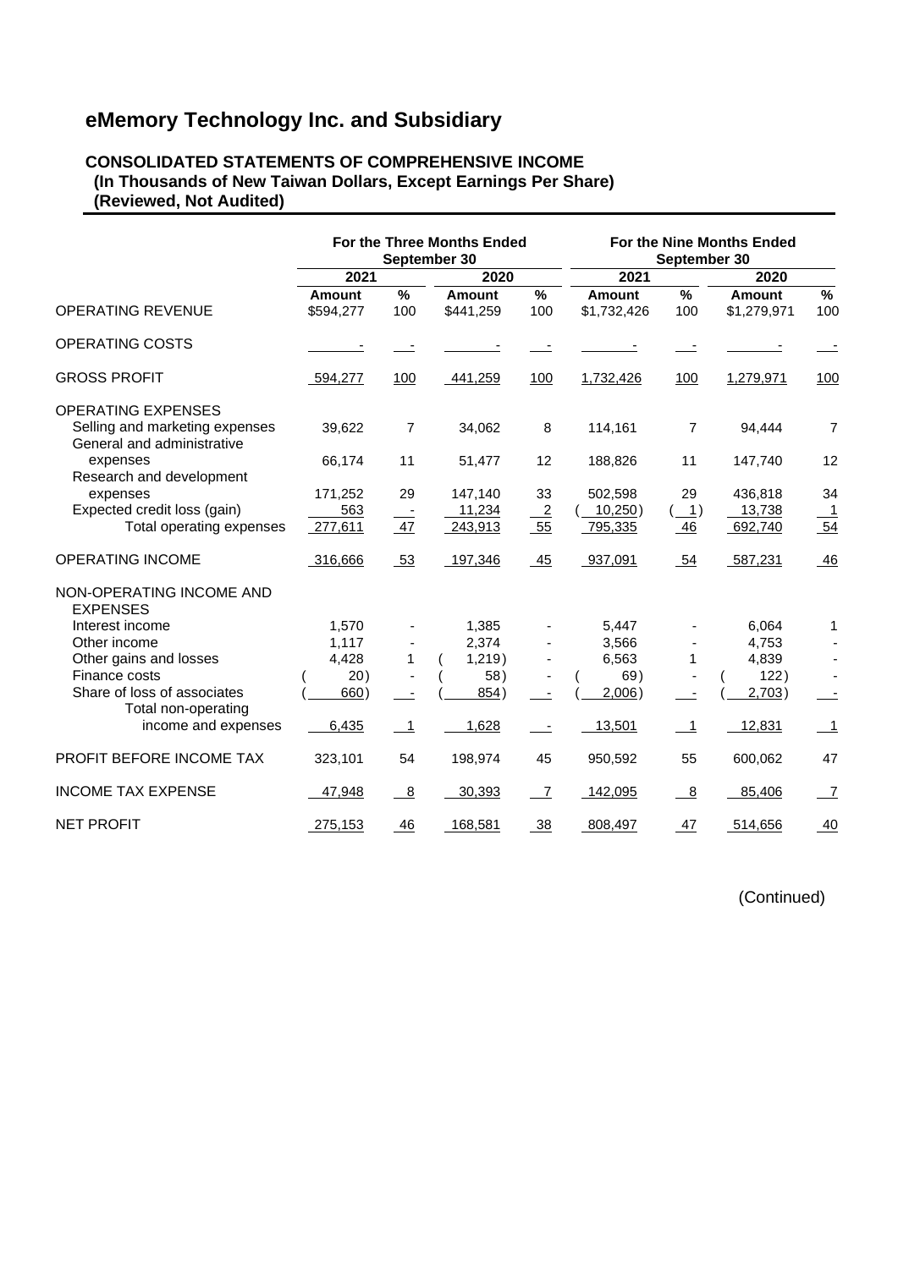#### **CONSOLIDATED STATEMENTS OF COMPREHENSIVE INCOME (In Thousands of New Taiwan Dollars, Except Earnings Per Share) (Reviewed, Not Audited)**

|                                                              |                     |                | For the Three Months Ended<br>September 30 |                | For the Nine Months Ended<br>September 30 |                                       |                       |                |  |
|--------------------------------------------------------------|---------------------|----------------|--------------------------------------------|----------------|-------------------------------------------|---------------------------------------|-----------------------|----------------|--|
|                                                              | 2021                |                | 2020                                       |                | 2021                                      |                                       | 2020                  |                |  |
| <b>OPERATING REVENUE</b>                                     | Amount<br>\$594,277 | %<br>100       | Amount<br>\$441,259                        | %<br>100       | <b>Amount</b><br>\$1,732,426              | %<br>100                              | Amount<br>\$1,279,971 | %<br>100       |  |
| OPERATING COSTS                                              |                     |                |                                            |                |                                           |                                       |                       |                |  |
| <b>GROSS PROFIT</b>                                          | 594,277             | 100            | 441,259                                    | 100            | 1,732,426                                 | 100                                   | 1,279,971             | 100            |  |
| <b>OPERATING EXPENSES</b>                                    |                     |                |                                            |                |                                           |                                       |                       |                |  |
| Selling and marketing expenses<br>General and administrative | 39,622              | 7              | 34,062                                     | 8              | 114,161                                   | 7                                     | 94,444                | $\overline{7}$ |  |
| expenses<br>Research and development                         | 66,174              | 11             | 51,477                                     | 12             | 188,826                                   | 11                                    | 147,740               | 12             |  |
| expenses                                                     | 171,252             | 29             | 147,140                                    | 33             | 502,598                                   | 29                                    | 436,818               | 34             |  |
| Expected credit loss (gain)                                  | 563                 |                | 11,234                                     | $\overline{2}$ | 10,250)                                   | $\left( \underline{\qquad 1} \right)$ | 13,738                | -1             |  |
| Total operating expenses                                     | 277,611             | 47             | 243,913                                    | 55             | 795,335                                   | 46                                    | 692,740               | 54             |  |
| <b>OPERATING INCOME</b>                                      | 316,666             | 53             | 197,346                                    | $-45$          | 937,091                                   | 54                                    | 587,231               | 46             |  |
| NON-OPERATING INCOME AND<br><b>EXPENSES</b>                  |                     |                |                                            |                |                                           |                                       |                       |                |  |
| Interest income                                              | 1,570               |                | 1,385                                      |                | 5,447                                     |                                       | 6,064                 | 1              |  |
| Other income                                                 | 1,117               |                | 2,374                                      |                | 3,566                                     |                                       | 4,753                 |                |  |
| Other gains and losses                                       | 4,428               | 1              | 1,219)                                     | $\blacksquare$ | 6,563                                     | $\mathbf 1$                           | 4,839                 |                |  |
| Finance costs                                                | 20)                 |                | 58)                                        |                | 69)                                       |                                       | 122)                  |                |  |
| Share of loss of associates                                  | 660)                |                | 854)                                       |                | 2,006)                                    |                                       | 2,703)                |                |  |
| Total non-operating<br>income and expenses                   | 6,435               | $\overline{1}$ | 1,628                                      |                | 13,501                                    | $\overline{\phantom{1}}$              | 12,831                | $\overline{1}$ |  |
|                                                              |                     |                |                                            |                |                                           |                                       |                       |                |  |
| PROFIT BEFORE INCOME TAX                                     | 323,101             | 54             | 198,974                                    | 45             | 950,592                                   | 55                                    | 600,062               | 47             |  |
| <b>INCOME TAX EXPENSE</b>                                    | 47,948              | 8              | 30,393                                     | $\overline{7}$ | 142,095                                   | 8                                     | 85,406                | $\overline{7}$ |  |
| <b>NET PROFIT</b>                                            | 275,153             | 46             | 168,581                                    | 38             | 808,497                                   | 47                                    | 514,656               | 40             |  |

(Continued)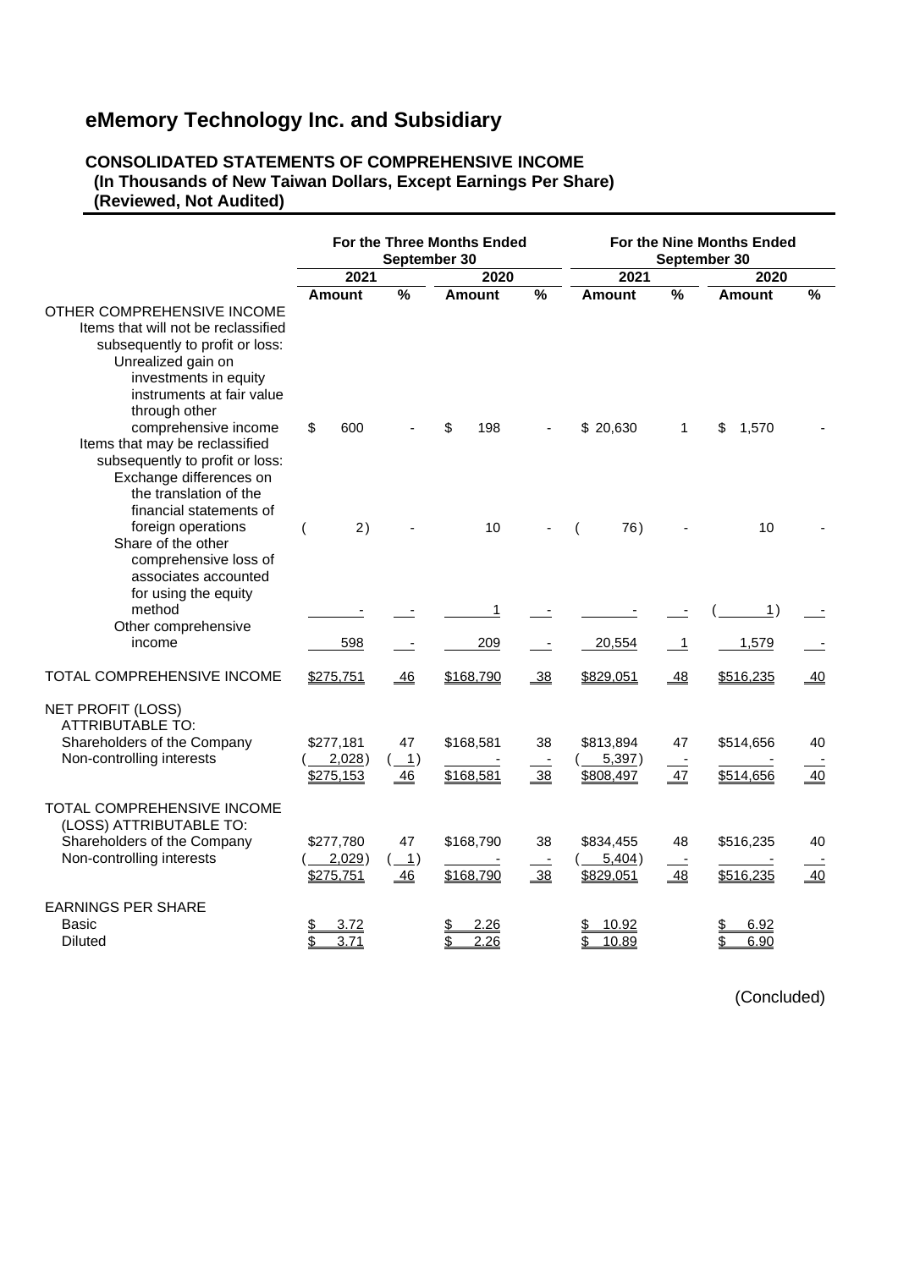## **CONSOLIDATED STATEMENTS OF COMPREHENSIVE INCOME (In Thousands of New Taiwan Dollars, Except Earnings Per Share) (Reviewed, Not Audited)**

|                                                                                                                                                                           |                        | September 30                                   | For the Three Months Ended |      | For the Nine Months Ended<br>September 30 |                |               |               |  |
|---------------------------------------------------------------------------------------------------------------------------------------------------------------------------|------------------------|------------------------------------------------|----------------------------|------|-------------------------------------------|----------------|---------------|---------------|--|
|                                                                                                                                                                           | 2021                   |                                                | 2020                       |      | 2021                                      |                | 2020          |               |  |
| OTHER COMPREHENSIVE INCOME                                                                                                                                                | Amount                 | $\frac{0}{0}$                                  | Amount                     | $\%$ | Amount                                    | %              | <b>Amount</b> | $\frac{9}{6}$ |  |
| Items that will not be reclassified<br>subsequently to profit or loss:<br>Unrealized gain on<br>investments in equity<br>instruments at fair value<br>through other       |                        |                                                |                            |      |                                           |                |               |               |  |
| comprehensive income<br>Items that may be reclassified<br>subsequently to profit or loss:<br>Exchange differences on<br>the translation of the<br>financial statements of | \$<br>600              |                                                | \$<br>198                  |      | \$20,630                                  | 1              | \$<br>1,570   |               |  |
| foreign operations<br>Share of the other<br>comprehensive loss of<br>associates accounted<br>for using the equity                                                         | 2)<br>(                |                                                | 10                         |      | 76)                                       |                | 10            |               |  |
| method                                                                                                                                                                    |                        |                                                | 1                          |      |                                           |                | <u>1</u> )    |               |  |
| Other comprehensive<br>income                                                                                                                                             | 598                    |                                                | 209                        |      | 20,554                                    | $\overline{1}$ | 1,579         |               |  |
| TOTAL COMPREHENSIVE INCOME                                                                                                                                                | \$275,751              | $-46$                                          | \$168,790                  | 38   | \$829,051                                 | $-48$          | \$516,235     | $-40$         |  |
| <b>NET PROFIT (LOSS)</b><br><b>ATTRIBUTABLE TO:</b>                                                                                                                       |                        |                                                |                            |      |                                           |                |               |               |  |
| Shareholders of the Company                                                                                                                                               | \$277,181              | 47                                             | \$168,581                  | 38   | \$813,894                                 | 47             | \$514,656     | 40            |  |
| Non-controlling interests                                                                                                                                                 | 2,028)<br>\$275,153    | $\left( \underline{\qquad 1} \right)$<br>46    | \$168,581                  | 38   | 5,397)<br>\$808,497                       | 47             | \$514,656     | 40            |  |
| TOTAL COMPREHENSIVE INCOME<br>(LOSS) ATTRIBUTABLE TO:<br>Shareholders of the Company                                                                                      | \$277,780              | 47                                             | \$168,790                  | 38   | \$834,455                                 | 48             | \$516,235     | 40            |  |
| Non-controlling interests                                                                                                                                                 | $2,029$ )<br>\$275,751 | $\left( \underline{\qquad 1} \right)$<br>$-46$ | \$168,790                  | 38   | 5,404)<br>\$829,051                       | 48             | \$516,235     | 40            |  |
| <b>EARNINGS PER SHARE</b><br>Basic                                                                                                                                        | 3.72                   |                                                | 2.26<br>S                  |      | 10.92                                     |                | 6.92          |               |  |
| <b>Diluted</b>                                                                                                                                                            | \$<br>3.71             |                                                | \$<br>2.26                 |      | 10.89                                     |                | 6.90          |               |  |

(Concluded)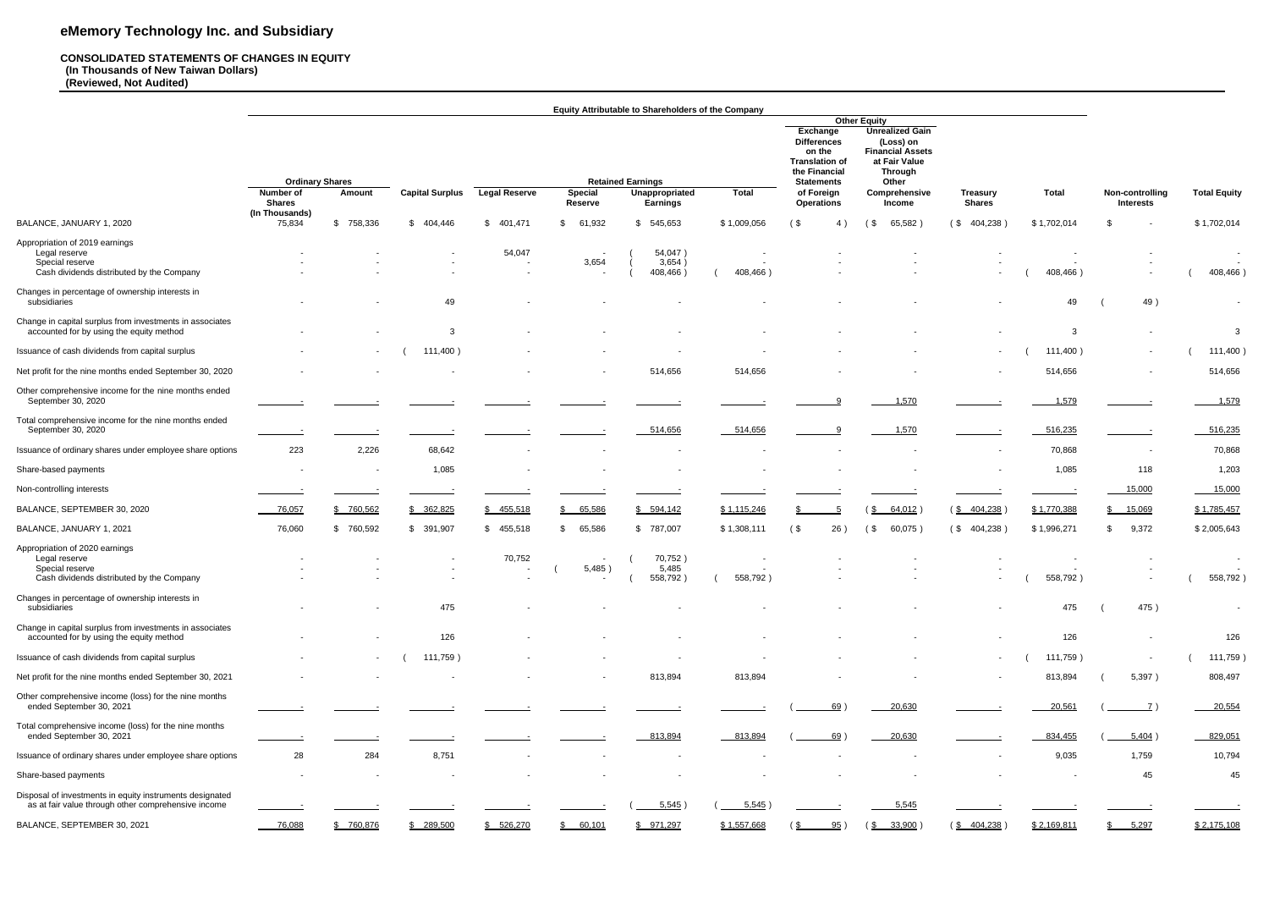#### **CONSOLIDATED STATEMENTS OF CHANGES IN EQUITY (In Thousands of New Taiwan Dollars) (Reviewed, Not Audited)**

|                                                                                                                 |                                     |                          |                        |                      |                            | <b>Equity Attributable to Shareholders of the Company</b> |                                      |                                                                                                                                                                                                                                                                             |                        |                                 |                            |                          |                     |
|-----------------------------------------------------------------------------------------------------------------|-------------------------------------|--------------------------|------------------------|----------------------|----------------------------|-----------------------------------------------------------|--------------------------------------|-----------------------------------------------------------------------------------------------------------------------------------------------------------------------------------------------------------------------------------------------------------------------------|------------------------|---------------------------------|----------------------------|--------------------------|---------------------|
|                                                                                                                 | <b>Ordinary Shares</b><br>Number of | Amount                   | <b>Capital Surplus</b> | <b>Legal Reserve</b> | <b>Special</b>             | <b>Retained Earnings</b><br>Unappropriated                | <b>Total</b>                         | <b>Other Equity</b><br><b>Unrealized Gain</b><br>Exchange<br>(Loss) on<br><b>Differences</b><br><b>Financial Assets</b><br>on the<br>at Fair Value<br><b>Translation of</b><br>the Financial<br><b>Through</b><br>Other<br><b>Statements</b><br>Comprehensive<br>of Foreign |                        | <b>Total</b><br><b>Treasury</b> |                            | Non-controlling          | <b>Total Equity</b> |
|                                                                                                                 | <b>Shares</b><br>(In Thousands)     |                          |                        |                      | Reserve                    | <b>Earnings</b>                                           |                                      | <b>Operations</b>                                                                                                                                                                                                                                                           | <b>Income</b>          | <b>Shares</b>                   |                            | <b>Interests</b>         |                     |
| BALANCE, JANUARY 1, 2020                                                                                        | 75,834                              | \$758,336                | \$404,446              | 401,471<br>\$        | \$<br>61,932               | 545,653                                                   | \$1,009,056                          | $($ \$<br>4)                                                                                                                                                                                                                                                                | $($ \$<br>65,582)      | (\$404,238)                     | \$1,702,014                | \$                       | \$1,702,014         |
| Appropriation of 2019 earnings<br>Legal reserve<br>Special reserve<br>Cash dividends distributed by the Company |                                     |                          |                        | 54,047<br>$\sim$     | $\sim$<br>3,654            | 54,047)<br>3,654)<br>408,466)                             | $\sim$<br>$\sim$<br>408,466)         |                                                                                                                                                                                                                                                                             |                        |                                 | $\blacksquare$<br>408,466) |                          | 408,466)            |
| Changes in percentage of ownership interests in<br>subsidiaries                                                 |                                     |                          | 49                     | $\,$                 |                            |                                                           |                                      |                                                                                                                                                                                                                                                                             |                        |                                 | 49                         | 49)                      | $\sim$              |
| Change in capital surplus from investments in associates<br>accounted for by using the equity method            |                                     |                          | 3                      |                      |                            |                                                           |                                      |                                                                                                                                                                                                                                                                             |                        |                                 | 3                          |                          | -3                  |
| Issuance of cash dividends from capital surplus                                                                 |                                     | $\sim$                   | 111,400)               | $\sim$               |                            |                                                           |                                      |                                                                                                                                                                                                                                                                             |                        | $\sim$                          | 111,400)                   | $\sim$                   | 111,400)            |
| Net profit for the nine months ended September 30, 2020                                                         |                                     |                          |                        |                      |                            | 514,656                                                   | 514,656                              |                                                                                                                                                                                                                                                                             |                        |                                 | 514,656                    |                          | 514,656             |
| Other comprehensive income for the nine months ended<br>September 30, 2020                                      |                                     |                          |                        |                      |                            |                                                           |                                      | റ                                                                                                                                                                                                                                                                           | 1,570                  |                                 | 1,579                      |                          | 1,579               |
| Total comprehensive income for the nine months ended<br>September 30, 2020                                      |                                     |                          |                        |                      |                            | 514,656                                                   | 514,656                              |                                                                                                                                                                                                                                                                             | 1,570                  |                                 | 516,235                    |                          | 516,235             |
| Issuance of ordinary shares under employee share options                                                        | 223                                 | 2,226                    | 68,642                 |                      |                            |                                                           |                                      |                                                                                                                                                                                                                                                                             |                        |                                 | 70,868                     | $\overline{\phantom{a}}$ | 70,868              |
| Share-based payments                                                                                            |                                     | $\overline{\phantom{a}}$ | 1,085                  |                      |                            |                                                           |                                      |                                                                                                                                                                                                                                                                             |                        |                                 | 1,085                      | 118                      | 1,203               |
| Non-controlling interests                                                                                       |                                     |                          |                        |                      |                            |                                                           |                                      |                                                                                                                                                                                                                                                                             |                        |                                 |                            | 15,000                   | 15,000              |
| BALANCE, SEPTEMBER 30, 2020                                                                                     | 76,057                              | \$760,562                | \$ 362,825             | 455,518              | 65,586<br>\$               | \$594,142                                                 | \$1,115,246                          |                                                                                                                                                                                                                                                                             | $64,012$ )<br>(\$      | $(\frac{$}{8}404,238)$          | \$1,770,388                | 15,069                   | \$1,785,457         |
| BALANCE, JANUARY 1, 2021                                                                                        | 76,060                              | 760,592<br>\$            | \$391,907              | \$455,518            | 65,586<br>\$               | \$787,007                                                 | \$1,308,111                          | $($ \$<br>26)                                                                                                                                                                                                                                                               | 60,075)<br>$($ \$      | (\$404,238)                     | \$1,996,271                | 9,372<br>\$              | \$2,005,643         |
| Appropriation of 2020 earnings<br>Legal reserve<br>Special reserve<br>Cash dividends distributed by the Company |                                     |                          |                        | 70,752<br>$\sim$     | $\sim$<br>5,485)<br>$\sim$ | 70,752)<br>5,485<br>558,792)                              | $\overline{\phantom{a}}$<br>558,792) |                                                                                                                                                                                                                                                                             |                        |                                 | 558,792)                   |                          | 558,792)            |
| Changes in percentage of ownership interests in<br>subsidiaries                                                 | $\sim$                              | $\sim$                   | 475                    |                      |                            |                                                           | $\sim$                               |                                                                                                                                                                                                                                                                             |                        |                                 | 475                        | 475)                     | $\sim$              |
| Change in capital surplus from investments in associates<br>accounted for by using the equity method            | $\sim$                              |                          | 126                    |                      |                            |                                                           |                                      |                                                                                                                                                                                                                                                                             |                        |                                 | 126                        | $\sim$                   | 126                 |
| Issuance of cash dividends from capital surplus                                                                 |                                     | $\sim$                   | 111,759)               | $\sim$               |                            |                                                           | $\overline{\phantom{a}}$             |                                                                                                                                                                                                                                                                             |                        | $\sim$                          | 111,759)                   | $\sim$                   | 111,759)            |
| Net profit for the nine months ended September 30, 2021                                                         |                                     |                          |                        |                      |                            | 813,894                                                   | 813,894                              |                                                                                                                                                                                                                                                                             |                        |                                 | 813,894                    | 5,397)                   | 808,497             |
| Other comprehensive income (loss) for the nine months<br>ended September 30, 2021                               |                                     |                          |                        |                      |                            |                                                           |                                      | 69)                                                                                                                                                                                                                                                                         | 20,630                 |                                 | 20,561                     | $\overline{z}$ )         | 20,554              |
| Total comprehensive income (loss) for the nine months<br>ended September 30, 2021                               |                                     |                          |                        |                      |                            | 813,894                                                   | $-813,894$                           | 69)                                                                                                                                                                                                                                                                         | 20,630                 |                                 | 834,455                    | 5,404)                   | 829,051             |
| Issuance of ordinary shares under employee share options                                                        | 28                                  | 284                      | 8,751                  |                      |                            |                                                           | $\sim$                               |                                                                                                                                                                                                                                                                             |                        |                                 | 9,035                      | 1,759                    | 10,794              |
| Share-based payments                                                                                            | $\sim$                              |                          |                        |                      |                            |                                                           |                                      |                                                                                                                                                                                                                                                                             |                        |                                 | $\overline{\phantom{a}}$   | 45                       | 45                  |
| Disposal of investments in equity instruments designated<br>as at fair value through other comprehensive income |                                     |                          |                        |                      |                            | 5,545)                                                    | $5,545$ )                            |                                                                                                                                                                                                                                                                             | 5,545                  |                                 |                            |                          |                     |
| BALANCE, SEPTEMBER 30, 2021                                                                                     | $-76,088$                           | \$760,876                | \$ 289,500             | \$ 526,270           | \$60,101                   | \$971,297                                                 | \$1,557,668                          | 95)<br>$\frac{1}{2}$                                                                                                                                                                                                                                                        | $(\frac{$}{8} 33,900)$ | $(\frac{$404,238}{)$            | \$2,169,811                | \$ 5,297                 | \$2,175,108         |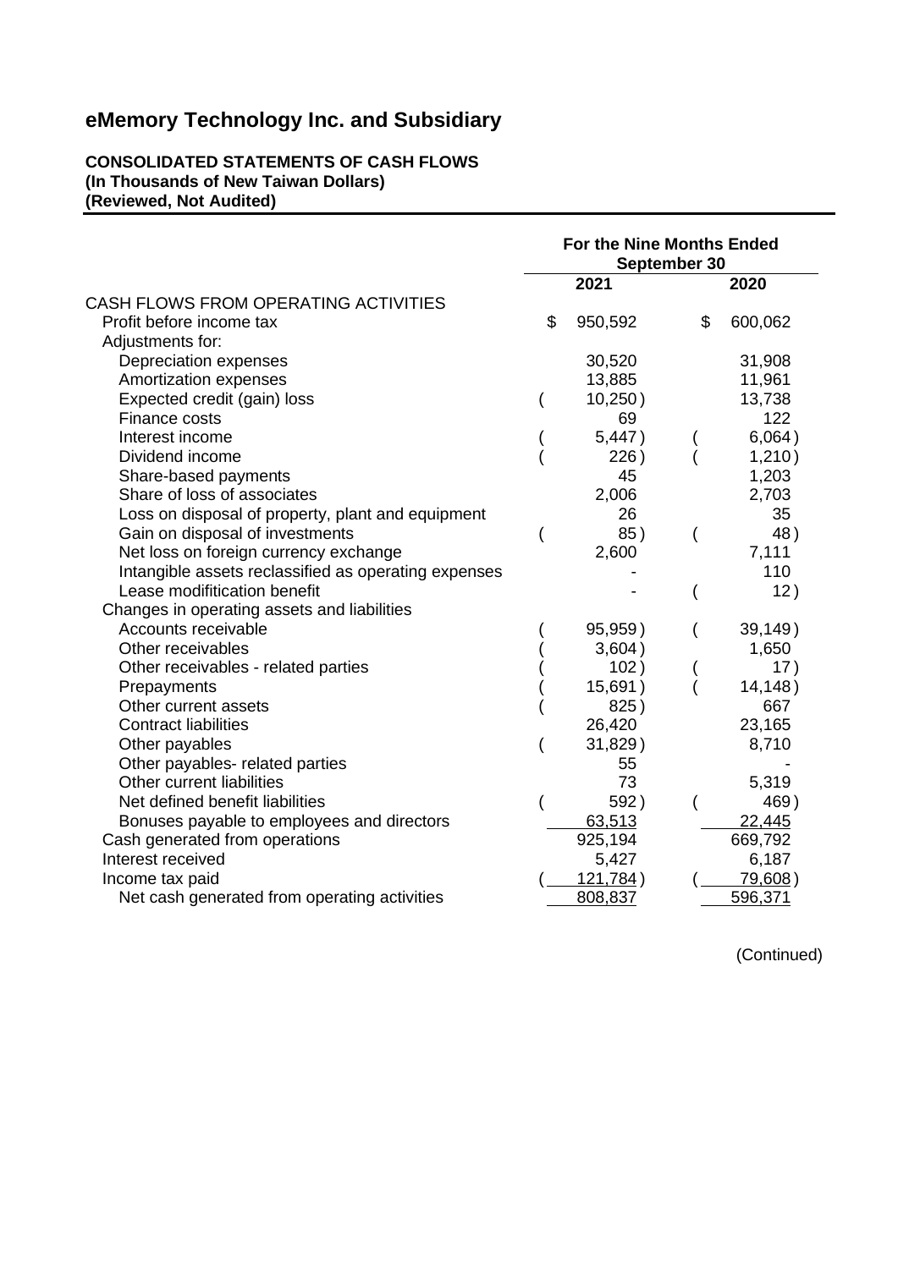**CONSOLIDATED STATEMENTS OF CASH FLOWS (In Thousands of New Taiwan Dollars) (Reviewed, Not Audited)**

|                                                      | For the Nine Months Ended<br>September 30 |                  |                          |                |  |
|------------------------------------------------------|-------------------------------------------|------------------|--------------------------|----------------|--|
|                                                      |                                           | 2021             |                          | 2020           |  |
| CASH FLOWS FROM OPERATING ACTIVITIES                 |                                           |                  |                          |                |  |
| Profit before income tax                             | \$                                        | 950,592          | \$                       | 600,062        |  |
| Adjustments for:                                     |                                           |                  |                          |                |  |
| Depreciation expenses                                |                                           | 30,520           |                          | 31,908         |  |
| Amortization expenses                                |                                           | 13,885           |                          | 11,961         |  |
| Expected credit (gain) loss                          |                                           | 10,250)          |                          | 13,738         |  |
| Finance costs                                        |                                           | 69               |                          | 122            |  |
| Interest income                                      |                                           | 5,447)           |                          | 6,064)         |  |
| Dividend income                                      |                                           | 226)             |                          | 1,210)         |  |
| Share-based payments                                 |                                           | 45               |                          | 1,203          |  |
| Share of loss of associates                          |                                           | 2,006            |                          | 2,703          |  |
| Loss on disposal of property, plant and equipment    |                                           | 26               |                          | 35             |  |
| Gain on disposal of investments                      |                                           | 85)              | $\overline{\phantom{a}}$ | 48)            |  |
| Net loss on foreign currency exchange                |                                           | 2,600            |                          | 7,111          |  |
| Intangible assets reclassified as operating expenses |                                           |                  |                          | 110            |  |
| Lease modifitication benefit                         |                                           |                  | ∖                        | 12)            |  |
| Changes in operating assets and liabilities          |                                           |                  |                          |                |  |
| Accounts receivable                                  |                                           | 95,959)          |                          | 39,149)        |  |
| Other receivables                                    |                                           | 3,604)           |                          | 1,650          |  |
| Other receivables - related parties                  |                                           | 102)             |                          | 17)            |  |
| Prepayments                                          |                                           | 15,691)          |                          | 14,148)        |  |
| Other current assets                                 |                                           | 825)             |                          | 667            |  |
| <b>Contract liabilities</b>                          |                                           | 26,420           |                          | 23,165         |  |
| Other payables                                       |                                           | 31,829)          |                          | 8,710          |  |
| Other payables- related parties                      |                                           | 55               |                          |                |  |
| Other current liabilities                            |                                           | 73               |                          | 5,319          |  |
| Net defined benefit liabilities                      |                                           | 592)             |                          | 469)           |  |
| Bonuses payable to employees and directors           |                                           | 63,513           |                          | 22,445         |  |
| Cash generated from operations                       |                                           | 925,194          |                          | 669,792        |  |
| Interest received                                    |                                           | 5,427            |                          | 6,187          |  |
| Income tax paid                                      |                                           | <u>121,784</u> ) |                          | <u>79,608)</u> |  |
| Net cash generated from operating activities         |                                           | 808,837          |                          | 596,371        |  |

(Continued)